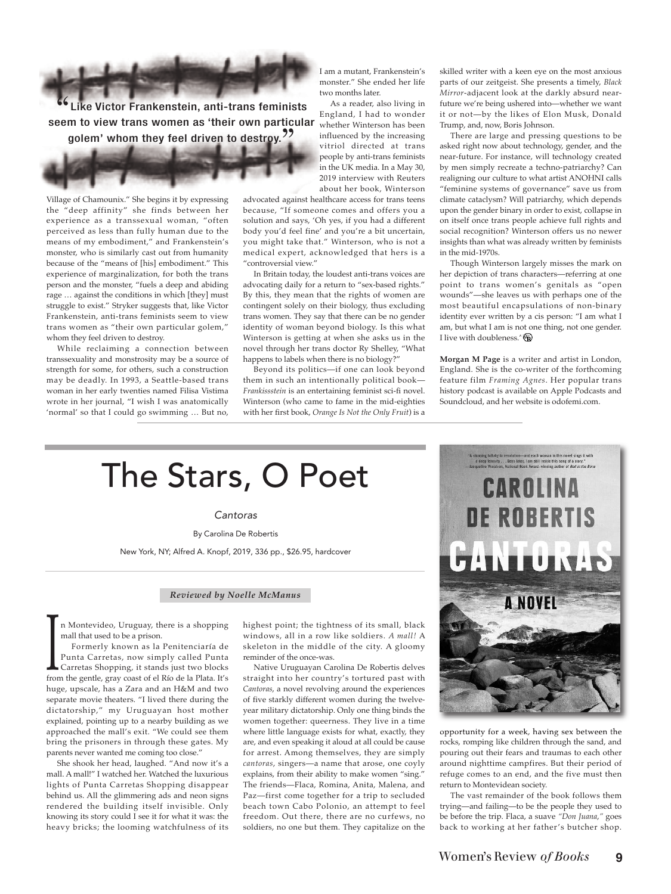

Village of Chamounix." She begins it by expressing the "deep affinity" she finds between her experience as a transsexual woman, "often perceived as less than fully human due to the means of my embodiment," and Frankenstein's monster, who is similarly cast out from humanity because of the "means of [his] embodiment." This experience of marginalization, for both the trans person and the monster, "fuels a deep and abiding rage … against the conditions in which [they] must struggle to exist." Stryker suggests that, like Victor Frankenstein, anti-trans feminists seem to view trans women as "their own particular golem," whom they feel driven to destroy.

While reclaiming a connection between transsexuality and monstrosity may be a source of strength for some, for others, such a construction may be deadly. In 1993, a Seattle-based trans woman in her early twenties named Filisa Vistima wrote in her journal, "I wish I was anatomically 'normal' so that I could go swimming … But no,

I am a mutant, Frankenstein's monster." She ended her life two months later.

As a reader, also living in England, I had to wonder whether Winterson has been influenced by the increasing vitriol directed at trans people by anti-trans feminists in the UK media. In a May 30, 2019 interview with Reuters about her book, Winterson

advocated against healthcare access for trans teens because, "If someone comes and offers you a solution and says, 'Oh yes, if you had a different body you'd feel fine' and you're a bit uncertain, you might take that." Winterson, who is not a medical expert, acknowledged that hers is a "controversial view."

In Britain today, the loudest anti-trans voices are advocating daily for a return to "sex-based rights." By this, they mean that the rights of women are contingent solely on their biology, thus excluding trans women. They say that there can be no gender identity of woman beyond biology. Is this what Winterson is getting at when she asks us in the novel through her trans doctor Ry Shelley, "What happens to labels when there is no biology?"

Beyond its politics—if one can look beyond them in such an intentionally political book— *Frankissstein* is an entertaining feminist sci-fi novel. Winterson (who came to fame in the mid-eighties with her first book, *Orange Is Not the Only Fruit*) is a skilled writer with a keen eye on the most anxious parts of our zeitgeist. She presents a timely, *Black Mirror*-adjacent look at the darkly absurd nearfuture we're being ushered into—whether we want it or not—by the likes of Elon Musk, Donald Trump, and, now, Boris Johnson.

There are large and pressing questions to be asked right now about technology, gender, and the near-future. For instance, will technology created by men simply recreate a techno-patriarchy? Can realigning our culture to what artist ANOHNI calls "feminine systems of governance" save us from climate cataclysm? Will patriarchy, which depends upon the gender binary in order to exist, collapse in on itself once trans people achieve full rights and social recognition? Winterson offers us no newer insights than what was already written by feminists in the mid-1970s.

Though Winterson largely misses the mark on her depiction of trans characters—referring at one point to trans women's genitals as "open wounds"—she leaves us with perhaps one of the most beautiful encapsulations of non-binary identity ever written by a cis person: "I am what I am, but what I am is not one thing, not one gender. I live with doubleness.  $\mathbb{R}$ 

**Morgan M Page** is a writer and artist in London, England. She is the co-writer of the forthcoming feature film *Framing Agnes*. Her popular trans history podcast is available on Apple Podcasts and Soundcloud, and her website is odofemi.com.

## The Stars, O Poet

Cantoras

By Carolina De Robertis

New York, NY; Alfred A. Knopf, 2019, 336 pp., \$26.95, hardcover

## *Reviewed by Noelle McManus*

n Montevideo, Uruguay, there is a shopping mall that used to be a prison.

Formerly known as la Penitenciaría de Punta Carretas, now simply called Punta Carretas Shopping, it stands just two blocks Formerly known as la Penitenciaría de<br>Punta Carretas, now simply called Punta<br>Carretas Shopping, it stands just two blocks<br>from the gentle, gray coast of el Río de la Plata. It's huge, upscale, has a Zara and an H&M and two separate movie theaters. "I lived there during the dictatorship," my Uruguayan host mother explained, pointing up to a nearby building as we approached the mall's exit. "We could see them bring the prisoners in through these gates. My parents never wanted me coming too close."

She shook her head, laughed. "And now it's a mall. A mall!" I watched her. Watched the luxurious lights of Punta Carretas Shopping disappear behind us. All the glimmering ads and neon signs rendered the building itself invisible. Only knowing its story could I see it for what it was: the heavy bricks; the looming watchfulness of its

highest point; the tightness of its small, black windows, all in a row like soldiers. *A mall!* A skeleton in the middle of the city. A gloomy reminder of the once-was.

Native Uruguayan Carolina De Robertis delves straight into her country's tortured past with *Cantoras*, a novel revolving around the experiences of five starkly different women during the twelveyear military dictatorship. Only one thing binds the women together: queerness. They live in a time where little language exists for what, exactly, they are, and even speaking it aloud at all could be cause for arrest. Among themselves, they are simply *cantoras*, singers—a name that arose, one coyly explains, from their ability to make women "sing." The friends—Flaca, Romina, Anita, Malena, and Paz—first come together for a trip to secluded beach town Cabo Polonio, an attempt to feel freedom. Out there, there are no curfews, no soldiers, no one but them. They capitalize on the



opportunity for a week, having sex between the rocks, romping like children through the sand, and pouring out their fears and traumas to each other around nighttime campfires. But their period of refuge comes to an end, and the five must then return to Montevidean society.

The vast remainder of the book follows them trying—and failing—to be the people they used to be before the trip. Flaca, a suave *"Don Juana*,*"* goes back to working at her father's butcher shop.